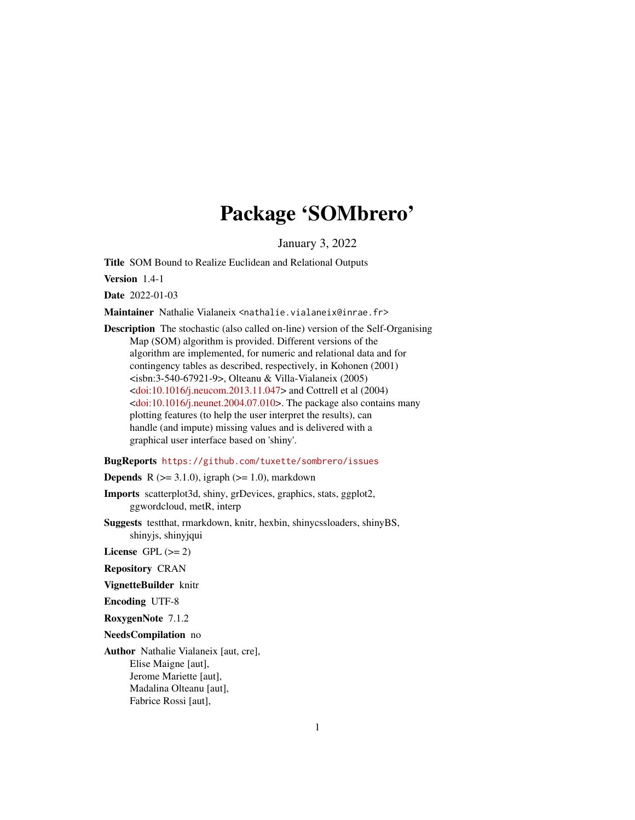# Package 'SOMbrero'

January 3, 2022

<span id="page-0-0"></span>Title SOM Bound to Realize Euclidean and Relational Outputs

Version 1.4-1

Date 2022-01-03

Maintainer Nathalie Vialaneix <nathalie.vialaneix@inrae.fr>

Description The stochastic (also called on-line) version of the Self-Organising Map (SOM) algorithm is provided. Different versions of the algorithm are implemented, for numeric and relational data and for contingency tables as described, respectively, in Kohonen (2001) <isbn:3-540-67921-9>, Olteanu & Villa-Vialaneix (2005) [<doi:10.1016/j.neucom.2013.11.047>](https://doi.org/10.1016/j.neucom.2013.11.047) and Cottrell et al (2004)  $\leq$ doi:10.1016/j.neunet.2004.07.010>. The package also contains many plotting features (to help the user interpret the results), can handle (and impute) missing values and is delivered with a graphical user interface based on 'shiny'.

# BugReports <https://github.com/tuxette/sombrero/issues>

**Depends** R  $(>= 3.1.0)$ , igraph  $(>= 1.0)$ , markdown

Imports scatterplot3d, shiny, grDevices, graphics, stats, ggplot2, ggwordcloud, metR, interp

Suggests testthat, rmarkdown, knitr, hexbin, shinycssloaders, shinyBS, shinyjs, shinyjqui

License GPL  $(>= 2)$ 

Repository CRAN

VignetteBuilder knitr

Encoding UTF-8

RoxygenNote 7.1.2

NeedsCompilation no

Author Nathalie Vialaneix [aut, cre], Elise Maigne [aut], Jerome Mariette [aut], Madalina Olteanu [aut], Fabrice Rossi [aut],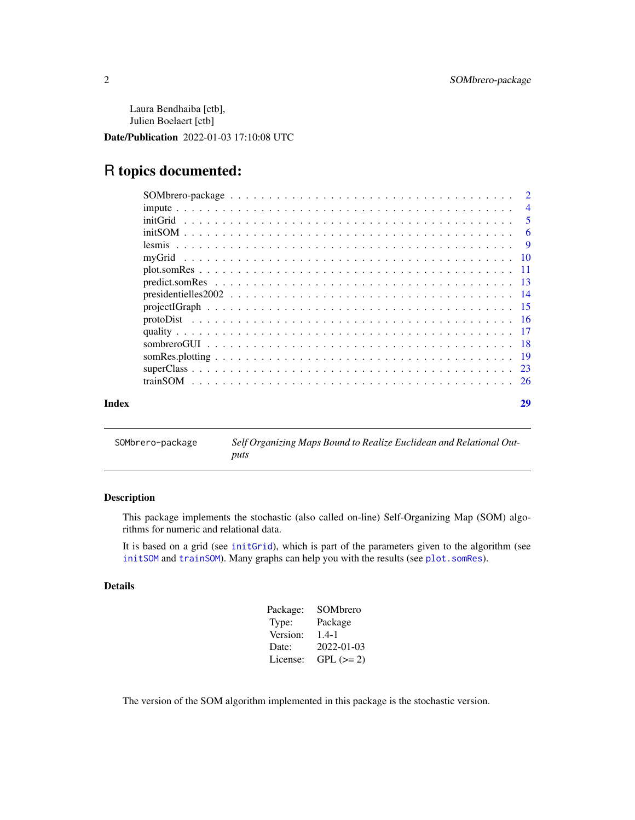<span id="page-1-0"></span>Laura Bendhaiba [ctb], Julien Boelaert [ctb]

Date/Publication 2022-01-03 17:10:08 UTC

# R topics documented:

| Index | 29             |
|-------|----------------|
|       |                |
|       |                |
|       |                |
|       |                |
|       |                |
|       |                |
|       |                |
|       |                |
|       |                |
|       |                |
|       |                |
|       | - 9            |
|       | - 6            |
|       | -5             |
|       | $\overline{4}$ |
|       |                |

SOMbrero-package *Self Organizing Maps Bound to Realize Euclidean and Relational Outputs*

# Description

This package implements the stochastic (also called on-line) Self-Organizing Map (SOM) algorithms for numeric and relational data.

It is based on a grid (see [initGrid](#page-4-1)), which is part of the parameters given to the algorithm (see [initSOM](#page-5-1) and [trainSOM](#page-25-1)). Many graphs can help you with the results (see [plot.somRes](#page-10-1)).

# Details

| Package: | SOMbrero         |
|----------|------------------|
| Type:    | Package          |
| Version: | $1.4 - 1$        |
| Date:    | $2022 - 01 - 03$ |
| License: | $GPL (=2)$       |

The version of the SOM algorithm implemented in this package is the stochastic version.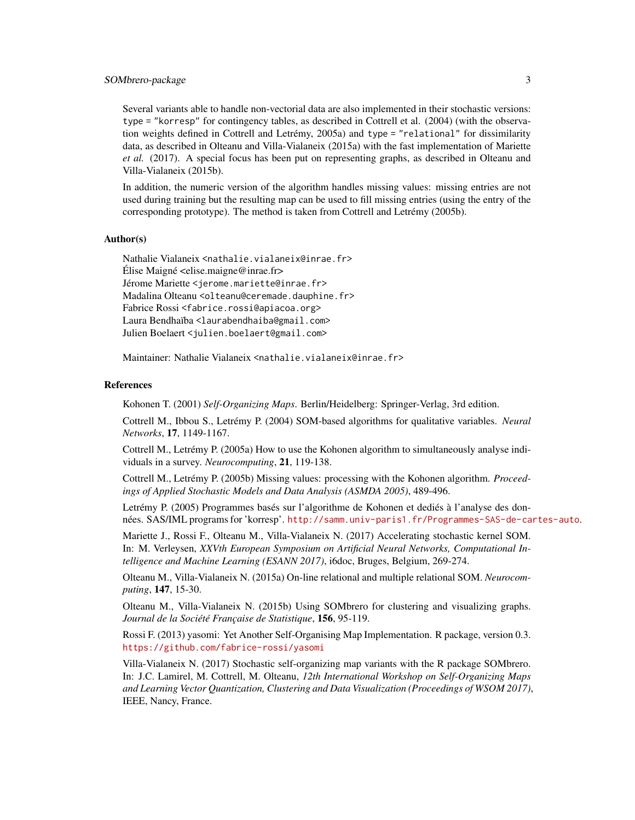# SOMbrero-package 3

Several variants able to handle non-vectorial data are also implemented in their stochastic versions: type = "korresp" for contingency tables, as described in Cottrell et al. (2004) (with the observation weights defined in Cottrell and Letrémy, 2005a) and type = "relational" for dissimilarity data, as described in Olteanu and Villa-Vialaneix (2015a) with the fast implementation of Mariette *et al.* (2017). A special focus has been put on representing graphs, as described in Olteanu and Villa-Vialaneix (2015b).

In addition, the numeric version of the algorithm handles missing values: missing entries are not used during training but the resulting map can be used to fill missing entries (using the entry of the corresponding prototype). The method is taken from Cottrell and Letrémy (2005b).

#### Author(s)

Nathalie Vialaneix <nathalie.vialaneix@inrae.fr> Élise Maigné <elise.maigne@inrae.fr> Jérome Mariette <jerome.mariette@inrae.fr> Madalina Olteanu <olteanu@ceremade.dauphine.fr> Fabrice Rossi <fabrice.rossi@apiacoa.org> Laura Bendhaïba <laurabendhaiba@gmail.com> Julien Boelaert <julien.boelaert@gmail.com>

Maintainer: Nathalie Vialaneix <nathalie.vialaneix@inrae.fr>

#### References

Kohonen T. (2001) *Self-Organizing Maps*. Berlin/Heidelberg: Springer-Verlag, 3rd edition.

Cottrell M., Ibbou S., Letrémy P. (2004) SOM-based algorithms for qualitative variables. *Neural Networks*, 17, 1149-1167.

Cottrell M., Letrémy P. (2005a) How to use the Kohonen algorithm to simultaneously analyse individuals in a survey. *Neurocomputing*, 21, 119-138.

Cottrell M., Letrémy P. (2005b) Missing values: processing with the Kohonen algorithm. *Proceedings of Applied Stochastic Models and Data Analysis (ASMDA 2005)*, 489-496.

Letrémy P. (2005) Programmes basés sur l'algorithme de Kohonen et dediés à l'analyse des données. SAS/IML programs for 'korresp'. <http://samm.univ-paris1.fr/Programmes-SAS-de-cartes-auto>.

Mariette J., Rossi F., Olteanu M., Villa-Vialaneix N. (2017) Accelerating stochastic kernel SOM. In: M. Verleysen, *XXVth European Symposium on Artificial Neural Networks, Computational Intelligence and Machine Learning (ESANN 2017)*, i6doc, Bruges, Belgium, 269-274.

Olteanu M., Villa-Vialaneix N. (2015a) On-line relational and multiple relational SOM. *Neurocomputing*, 147, 15-30.

Olteanu M., Villa-Vialaneix N. (2015b) Using SOMbrero for clustering and visualizing graphs. *Journal de la Société Française de Statistique*, 156, 95-119.

Rossi F. (2013) yasomi: Yet Another Self-Organising Map Implementation. R package, version 0.3. <https://github.com/fabrice-rossi/yasomi>

Villa-Vialaneix N. (2017) Stochastic self-organizing map variants with the R package SOMbrero. In: J.C. Lamirel, M. Cottrell, M. Olteanu, *12th International Workshop on Self-Organizing Maps and Learning Vector Quantization, Clustering and Data Visualization (Proceedings of WSOM 2017)*, IEEE, Nancy, France.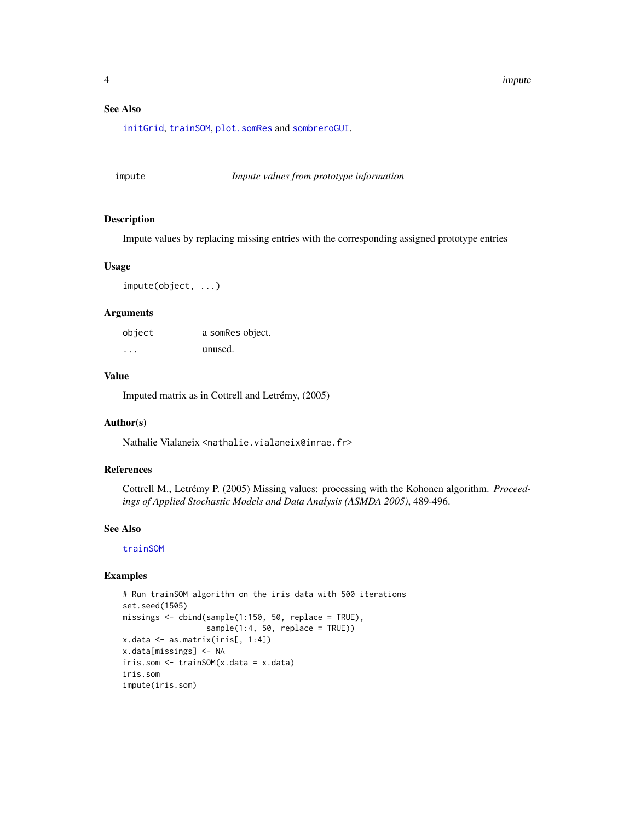# <span id="page-3-0"></span>See Also

[initGrid](#page-4-1), [trainSOM](#page-25-1), [plot.somRes](#page-10-1) and [sombreroGUI](#page-17-1).

# <span id="page-3-1"></span>impute *Impute values from prototype information*

#### Description

Impute values by replacing missing entries with the corresponding assigned prototype entries

#### Usage

impute(object, ...)

# Arguments

| object | a somRes object. |
|--------|------------------|
| .      | unused.          |

# Value

Imputed matrix as in Cottrell and Letrémy, (2005)

### Author(s)

Nathalie Vialaneix <nathalie.vialaneix@inrae.fr>

#### References

Cottrell M., Letrémy P. (2005) Missing values: processing with the Kohonen algorithm. *Proceedings of Applied Stochastic Models and Data Analysis (ASMDA 2005)*, 489-496.

# See Also

[trainSOM](#page-25-1)

#### Examples

```
# Run trainSOM algorithm on the iris data with 500 iterations
set.seed(1505)
missings \le cbind(sample(1:150, 50, replace = TRUE),
                  sample(1:4, 50, replace = TRUE))x.data <- as.matrix(iris[, 1:4])
x.data[missings] <- NA
iris.som <- trainSOM(x.data = x.data)
iris.som
impute(iris.som)
```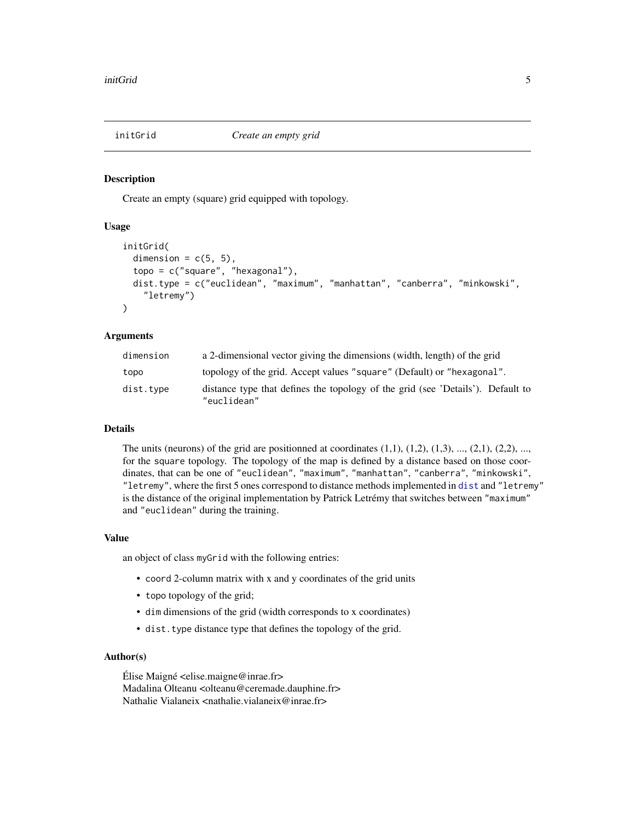<span id="page-4-1"></span><span id="page-4-0"></span>

#### Description

Create an empty (square) grid equipped with topology.

# Usage

```
initGrid(
  dimension = c(5, 5),
  topo = c("square", "hexagonal"),
  dist.type = c("euclidean", "maximum", "manhattan", "canberra", "minkowski",
    "letremy")
)
```
#### Arguments

| dimension | a 2-dimensional vector giving the dimensions (width, length) of the grid                       |
|-----------|------------------------------------------------------------------------------------------------|
| topo      | topology of the grid. Accept values "square" (Default) or "hexagonal".                         |
| dist.type | distance type that defines the topology of the grid (see 'Details'). Default to<br>"euclidean" |

#### Details

The units (neurons) of the grid are positionned at coordinates  $(1,1)$ ,  $(1,2)$ ,  $(1,3)$ , ...,  $(2,1)$ ,  $(2,2)$ , ..., for the square topology. The topology of the map is defined by a distance based on those coordinates, that can be one of "euclidean", "maximum", "manhattan", "canberra", "minkowski", "letremy", where the first 5 ones correspond to distance methods implemented in [dist](#page-0-0) and "letremy" is the distance of the original implementation by Patrick Letrémy that switches between "maximum" and "euclidean" during the training.

#### Value

an object of class myGrid with the following entries:

- coord 2-column matrix with x and y coordinates of the grid units
- topo topology of the grid;
- dim dimensions of the grid (width corresponds to x coordinates)
- dist.type distance type that defines the topology of the grid.

# Author(s)

Élise Maigné  $\leq$ elise.maigne@inrae.fr> Madalina Olteanu <olteanu@ceremade.dauphine.fr> Nathalie Vialaneix <nathalie.vialaneix@inrae.fr>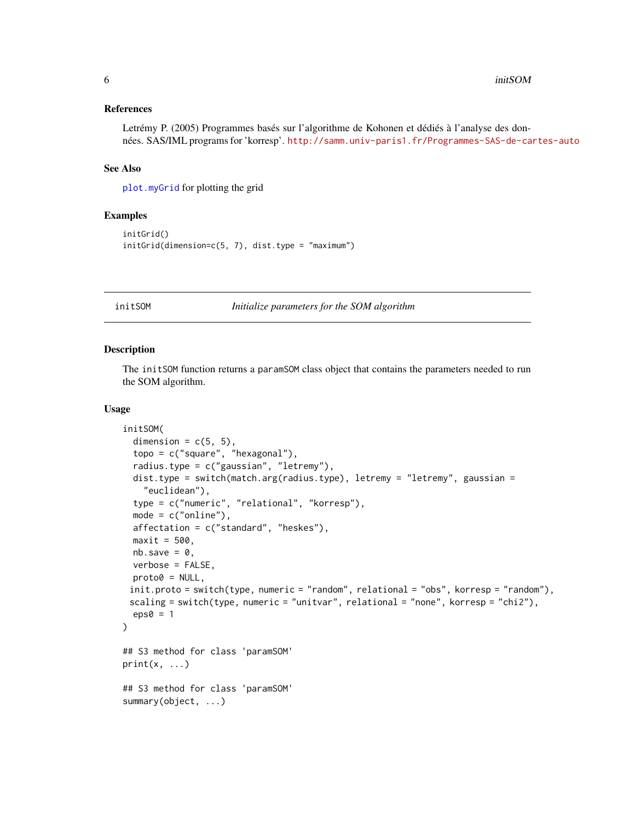#### <span id="page-5-0"></span>References

Letrémy P. (2005) Programmes basés sur l'algorithme de Kohonen et dédiés à l'analyse des données. SAS/IML programs for 'korresp'. <http://samm.univ-paris1.fr/Programmes-SAS-de-cartes-auto>

#### See Also

[plot.myGrid](#page-9-1) for plotting the grid

# Examples

```
initGrid()
initGrid(dimension=c(5, 7), dist.type = "maximum")
```
<span id="page-5-1"></span>initSOM *Initialize parameters for the SOM algorithm*

#### Description

The initSOM function returns a paramSOM class object that contains the parameters needed to run the SOM algorithm.

#### Usage

```
initSOM(
  dimension = c(5, 5),
  topo = c("square", "hexagonal"),
  radius.type = c("gaussian", "letremy"),
  dist.type = switch(match.arg(radius.type), letremy = "letremy", gaussian =
    "euclidean"),
  type = c("numeric", "relational", "korresp"),
  mode = c("online"),affectation = c("standard", "heskes"),
 maxit = 500,
 nb.save = 0,
 verbose = FALSE,
 proto@ = NULL,init.proto = switch(type, numeric = "random", relational = "obs", korresp = "random"),
 scaling = switch(type, numeric = "unitvar", relational = "none", korresp = "chi2"),
  eps0 = 1\lambda## S3 method for class 'paramSOM'
print(x, \ldots)## S3 method for class 'paramSOM'
summary(object, ...)
```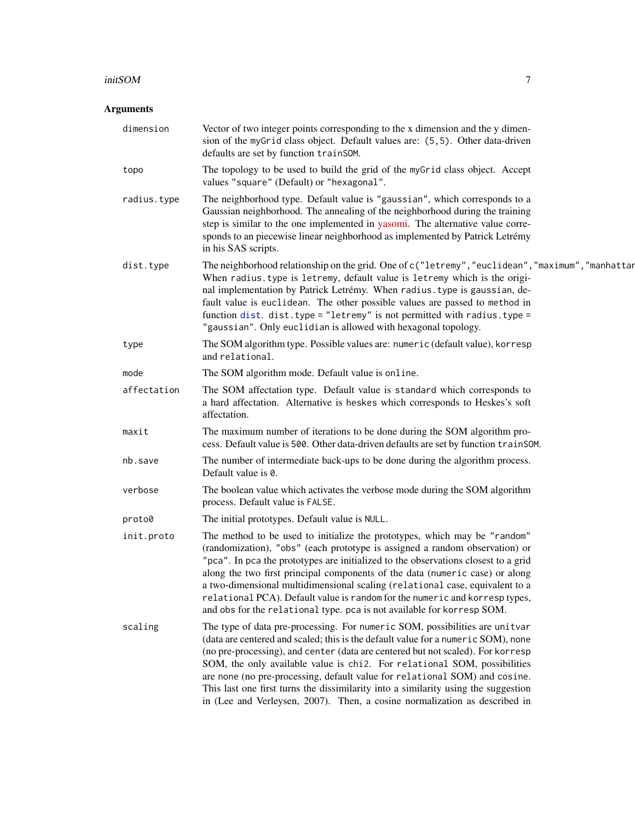#### <span id="page-6-0"></span>initSOM 7

# Arguments

| dimension   | Vector of two integer points corresponding to the x dimension and the y dimen-<br>sion of the myGrid class object. Default values are: (5,5). Other data-driven<br>defaults are set by function trainSOM.                                                                                                                                                                                                                                                                                                                                                                         |
|-------------|-----------------------------------------------------------------------------------------------------------------------------------------------------------------------------------------------------------------------------------------------------------------------------------------------------------------------------------------------------------------------------------------------------------------------------------------------------------------------------------------------------------------------------------------------------------------------------------|
| topo        | The topology to be used to build the grid of the myGrid class object. Accept<br>values "square" (Default) or "hexagonal".                                                                                                                                                                                                                                                                                                                                                                                                                                                         |
| radius.type | The neighborhood type. Default value is "gaussian", which corresponds to a<br>Gaussian neighborhood. The annealing of the neighborhood during the training<br>step is similar to the one implemented in yasomi. The alternative value corre-<br>sponds to an piecewise linear neighborhood as implemented by Patrick Letrémy<br>in his SAS scripts.                                                                                                                                                                                                                               |
| dist.type   | The neighborhood relationship on the grid. One of c("letremy", "euclidean", "maximum", "manhattar<br>When radius. type is letremy, default value is letremy which is the origi-<br>nal implementation by Patrick Letrémy. When radius. type is gaussian, de-<br>fault value is euclidean. The other possible values are passed to method in<br>function dist. dist.type = "letremy" is not permitted with radius.type =<br>"gaussian". Only euclidian is allowed with hexagonal topology.                                                                                         |
| type        | The SOM algorithm type. Possible values are: numeric (default value), korresp<br>and relational.                                                                                                                                                                                                                                                                                                                                                                                                                                                                                  |
| mode        | The SOM algorithm mode. Default value is online.                                                                                                                                                                                                                                                                                                                                                                                                                                                                                                                                  |
| affectation | The SOM affectation type. Default value is standard which corresponds to<br>a hard affectation. Alternative is heskes which corresponds to Heskes's soft<br>affectation.                                                                                                                                                                                                                                                                                                                                                                                                          |
| maxit       | The maximum number of iterations to be done during the SOM algorithm pro-<br>cess. Default value is 500. Other data-driven defaults are set by function trainSOM.                                                                                                                                                                                                                                                                                                                                                                                                                 |
| nb.save     | The number of intermediate back-ups to be done during the algorithm process.<br>Default value is 0.                                                                                                                                                                                                                                                                                                                                                                                                                                                                               |
| verbose     | The boolean value which activates the verbose mode during the SOM algorithm<br>process. Default value is FALSE.                                                                                                                                                                                                                                                                                                                                                                                                                                                                   |
| proto0      | The initial prototypes. Default value is NULL.                                                                                                                                                                                                                                                                                                                                                                                                                                                                                                                                    |
| init.proto  | The method to be used to initialize the prototypes, which may be "random"<br>(randomization), "obs" (each prototype is assigned a random observation) or<br>"pca". In pca the prototypes are initialized to the observations closest to a grid<br>along the two first principal components of the data (numeric case) or along<br>a two-dimensional multidimensional scaling (relational case, equivalent to a<br>relational PCA). Default value is random for the numeric and korresp types,<br>and obs for the relational type. pca is not available for korresp SOM.           |
| scaling     | The type of data pre-processing. For numeric SOM, possibilities are unitvar<br>(data are centered and scaled; this is the default value for a numeric SOM), none<br>(no pre-processing), and center (data are centered but not scaled). For korresp<br>SOM, the only available value is chi2. For relational SOM, possibilities<br>are none (no pre-processing, default value for relational SOM) and cosine.<br>This last one first turns the dissimilarity into a similarity using the suggestion<br>in (Lee and Verleysen, 2007). Then, a cosine normalization as described in |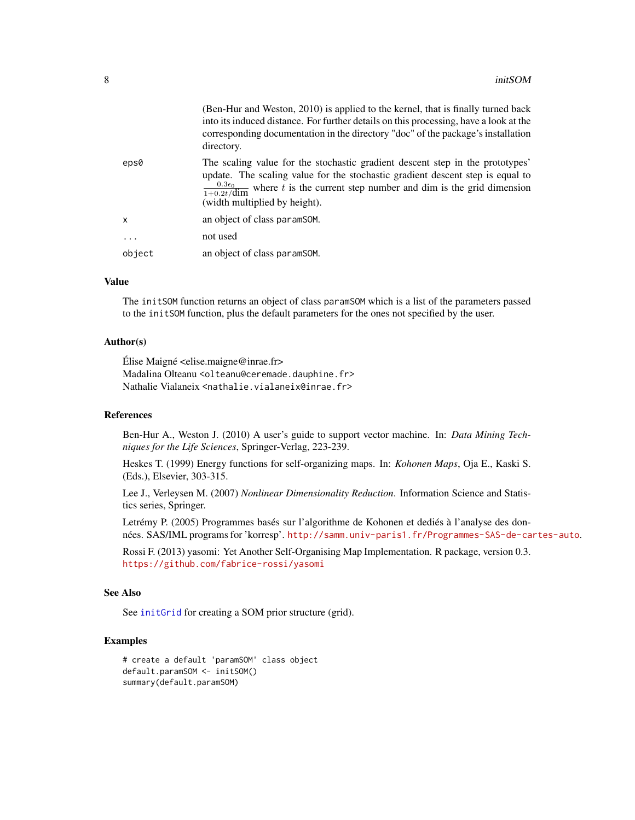<span id="page-7-0"></span>

|          | (Ben-Hur and Weston, 2010) is applied to the kernel, that is finally turned back<br>into its induced distance. For further details on this processing, have a look at the<br>corresponding documentation in the directory "doc" of the package's installation<br>directory.                                    |
|----------|----------------------------------------------------------------------------------------------------------------------------------------------------------------------------------------------------------------------------------------------------------------------------------------------------------------|
| eps0     | The scaling value for the stochastic gradient descent step in the prototypes'<br>update. The scaling value for the stochastic gradient descent step is equal to<br>$\frac{0.3\epsilon_0}{1+0.2t/\text{dim}}$ where t is the current step number and dim is the grid dimension<br>(width multiplied by height). |
| X        | an object of class paramsom.                                                                                                                                                                                                                                                                                   |
| $\cdots$ | not used                                                                                                                                                                                                                                                                                                       |
| object   | an object of class paramSOM.                                                                                                                                                                                                                                                                                   |

#### Value

The initSOM function returns an object of class paramSOM which is a list of the parameters passed to the initSOM function, plus the default parameters for the ones not specified by the user.

# Author(s)

Élise Maigné  $\leq$ elise.maigne@inrae.fr> Madalina Olteanu <olteanu@ceremade.dauphine.fr> Nathalie Vialaneix <nathalie.vialaneix@inrae.fr>

# References

Ben-Hur A., Weston J. (2010) A user's guide to support vector machine. In: *Data Mining Techniques for the Life Sciences*, Springer-Verlag, 223-239.

Heskes T. (1999) Energy functions for self-organizing maps. In: *Kohonen Maps*, Oja E., Kaski S. (Eds.), Elsevier, 303-315.

Lee J., Verleysen M. (2007) *Nonlinear Dimensionality Reduction*. Information Science and Statistics series, Springer.

Letrémy P. (2005) Programmes basés sur l'algorithme de Kohonen et dediés à l'analyse des données. SAS/IML programs for 'korresp'. <http://samm.univ-paris1.fr/Programmes-SAS-de-cartes-auto>.

Rossi F. (2013) yasomi: Yet Another Self-Organising Map Implementation. R package, version 0.3. <https://github.com/fabrice-rossi/yasomi>

# See Also

See [initGrid](#page-4-1) for creating a SOM prior structure (grid).

### Examples

```
# create a default 'paramSOM' class object
default.paramSOM <- initSOM()
summary(default.paramSOM)
```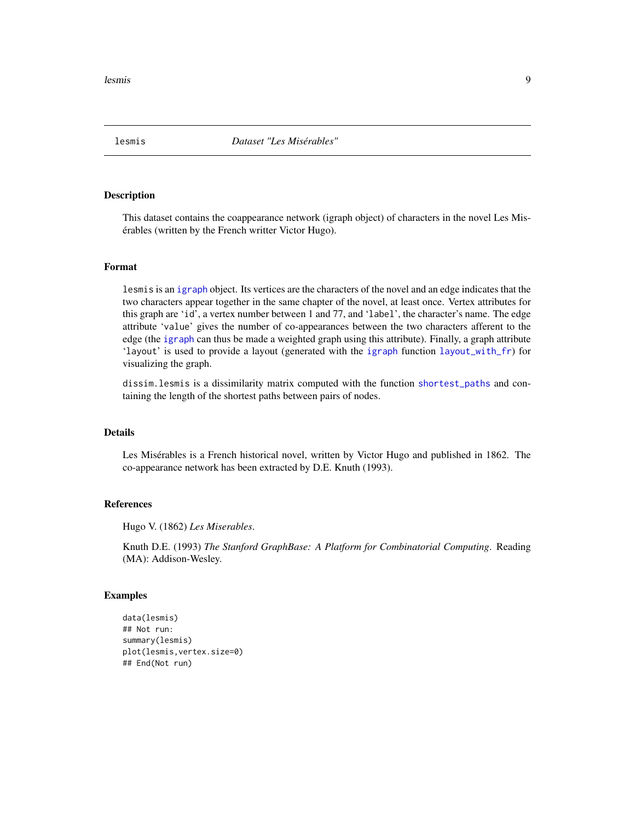<span id="page-8-0"></span>lesmis 9

#### Description

This dataset contains the coappearance network (igraph object) of characters in the novel Les Misérables (written by the French writter Victor Hugo).

# Format

lesmis is an [igraph](#page-0-0) object. Its vertices are the characters of the novel and an edge indicates that the two characters appear together in the same chapter of the novel, at least once. Vertex attributes for this graph are 'id', a vertex number between 1 and 77, and 'label', the character's name. The edge attribute 'value' gives the number of co-appearances between the two characters afferent to the edge (the [igraph](#page-0-0) can thus be made a weighted graph using this attribute). Finally, a graph attribute 'layout' is used to provide a layout (generated with the [igraph](#page-0-0) function [layout\\_with\\_fr](#page-0-0)) for visualizing the graph.

dissim.lesmis is a dissimilarity matrix computed with the function [shortest\\_paths](#page-0-0) and containing the length of the shortest paths between pairs of nodes.

# Details

Les Misérables is a French historical novel, written by Victor Hugo and published in 1862. The co-appearance network has been extracted by D.E. Knuth (1993).

#### References

Hugo V. (1862) *Les Miserables*.

Knuth D.E. (1993) *The Stanford GraphBase: A Platform for Combinatorial Computing*. Reading (MA): Addison-Wesley.

#### Examples

```
data(lesmis)
## Not run:
summary(lesmis)
plot(lesmis,vertex.size=0)
## End(Not run)
```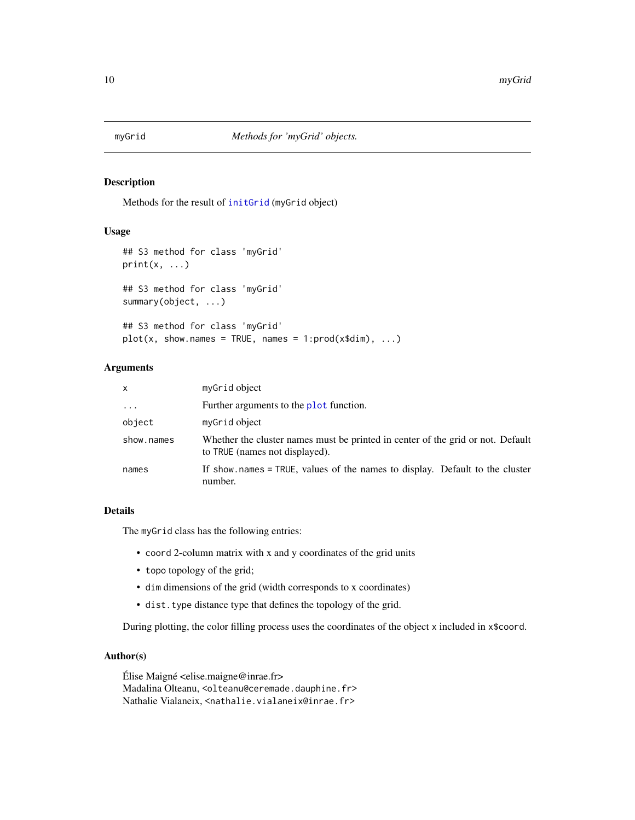<span id="page-9-0"></span>

# <span id="page-9-1"></span>Description

Methods for the result of [initGrid](#page-4-1) (myGrid object)

#### Usage

```
## S3 method for class 'myGrid'
print(x, \ldots)## S3 method for class 'myGrid'
summary(object, ...)
## S3 method for class 'myGrid'
```
 $plot(x, show.names = TRUE, names = 1:prod(x$dim), ...)$ 

# Arguments

| x          | myGrid object                                                                                                     |
|------------|-------------------------------------------------------------------------------------------------------------------|
| $\ddots$ . | Further arguments to the <b>plot</b> function.                                                                    |
| object     | myGrid object                                                                                                     |
| show.names | Whether the cluster names must be printed in center of the grid or not. Default<br>to TRUE (names not displayed). |
| names      | If show names = TRUE, values of the names to display. Default to the cluster<br>number.                           |

# Details

The myGrid class has the following entries:

- coord 2-column matrix with x and y coordinates of the grid units
- topo topology of the grid;
- dim dimensions of the grid (width corresponds to x coordinates)
- dist.type distance type that defines the topology of the grid.

During plotting, the color filling process uses the coordinates of the object x included in x\$coord.

# Author(s)

Élise Maigné <elise.maigne@inrae.fr> Madalina Olteanu, <olteanu@ceremade.dauphine.fr> Nathalie Vialaneix, <nathalie.vialaneix@inrae.fr>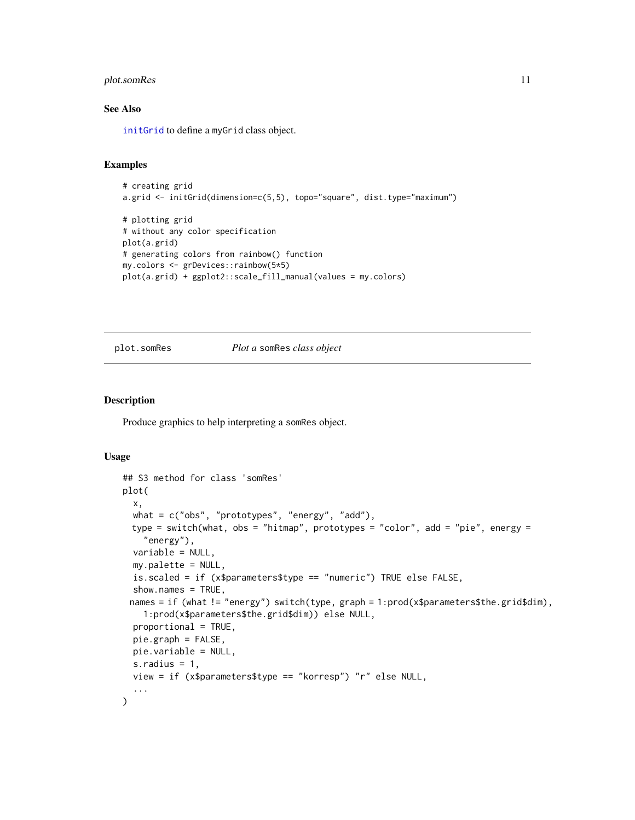# <span id="page-10-0"></span>plot.somRes 11

# See Also

[initGrid](#page-4-1) to define a myGrid class object.

# Examples

```
# creating grid
a.grid <- initGrid(dimension=c(5,5), topo="square", dist.type="maximum")
# plotting grid
# without any color specification
plot(a.grid)
# generating colors from rainbow() function
my.colors <- grDevices::rainbow(5*5)
plot(a.grid) + ggplot2::scale_fill_manual(values = my.colors)
```
# <span id="page-10-1"></span>plot.somRes *Plot a* somRes *class object*

# Description

Produce graphics to help interpreting a somRes object.

#### Usage

```
## S3 method for class 'somRes'
plot(
  x,
 what = c("obs", "prototypes", "energy", "add"),
 type = switch(what, obs = "hitmap", prototypes = "color", add = "pie", energy =
    "energy"),
  variable = NULL,
  my.palette = NULL,
  is.scaled = if (x$parameters$type == "numeric") TRUE else FALSE,
  show.names = TRUE,
 names = if (what != "energy") switch(type, graph = 1:prod(x$parameters$the.grid$dim),
    1:prod(x$parameters$the.grid$dim)) else NULL,
 proportional = TRUE,
 pie.graph = FALSE,
 pie.variable = NULL,
  s.radius = 1,
  view = if (x$parameters$type == "korresp") "r" else NULL,
  ...
)
```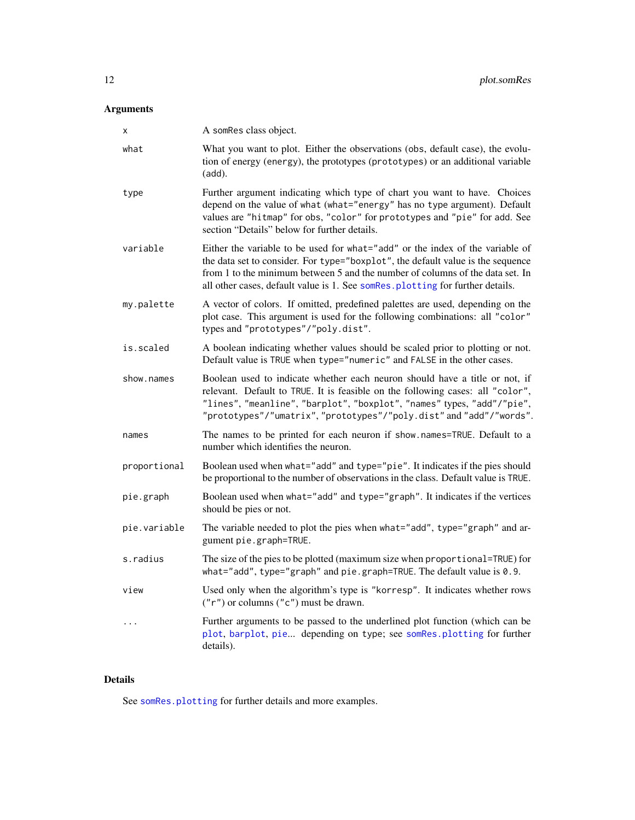# <span id="page-11-0"></span>Arguments

| х            | A somRes class object.                                                                                                                                                                                                                                                                                                              |
|--------------|-------------------------------------------------------------------------------------------------------------------------------------------------------------------------------------------------------------------------------------------------------------------------------------------------------------------------------------|
| what         | What you want to plot. Either the observations (obs, default case), the evolu-<br>tion of energy (energy), the prototypes (prototypes) or an additional variable<br>(add).                                                                                                                                                          |
| type         | Further argument indicating which type of chart you want to have. Choices<br>depend on the value of what (what="energy" has no type argument). Default<br>values are "hitmap" for obs, "color" for prototypes and "pie" for add. See<br>section "Details" below for further details.                                                |
| variable     | Either the variable to be used for what="add" or the index of the variable of<br>the data set to consider. For type="boxplot", the default value is the sequence<br>from 1 to the minimum between 5 and the number of columns of the data set. In<br>all other cases, default value is 1. See somRes. plotting for further details. |
| my.palette   | A vector of colors. If omitted, predefined palettes are used, depending on the<br>plot case. This argument is used for the following combinations: all "color"<br>types and "prototypes"/"poly.dist".                                                                                                                               |
| is.scaled    | A boolean indicating whether values should be scaled prior to plotting or not.<br>Default value is TRUE when type="numeric" and FALSE in the other cases.                                                                                                                                                                           |
| show.names   | Boolean used to indicate whether each neuron should have a title or not, if<br>relevant. Default to TRUE. It is feasible on the following cases: all "color",<br>"lines", "meanline", "barplot", "boxplot", "names" types, "add"/"pie",<br>"prototypes"/"umatrix","prototypes"/"poly.dist" and "add"/"words".                       |
| names        | The names to be printed for each neuron if show names=TRUE. Default to a<br>number which identifies the neuron.                                                                                                                                                                                                                     |
| proportional | Boolean used when what="add" and type="pie". It indicates if the pies should<br>be proportional to the number of observations in the class. Default value is TRUE.                                                                                                                                                                  |
| pie.graph    | Boolean used when what="add" and type="graph". It indicates if the vertices<br>should be pies or not.                                                                                                                                                                                                                               |
| pie.variable | The variable needed to plot the pies when what="add", type="graph" and ar-<br>gument pie.graph=TRUE.                                                                                                                                                                                                                                |
| s.radius     | The size of the pies to be plotted (maximum size when proportional=TRUE) for<br>what="add", type="graph" and pie.graph=TRUE. The default value is 0.9.                                                                                                                                                                              |
| view         | Used only when the algorithm's type is "korresp". It indicates whether rows<br>$("r")$ or columns $("c")$ must be drawn.                                                                                                                                                                                                            |
| $\cdots$     | Further arguments to be passed to the underlined plot function (which can be<br>plot, barplot, pie depending on type; see somRes.plotting for further<br>details).                                                                                                                                                                  |

# Details

See [somRes.plotting](#page-18-1) for further details and more examples.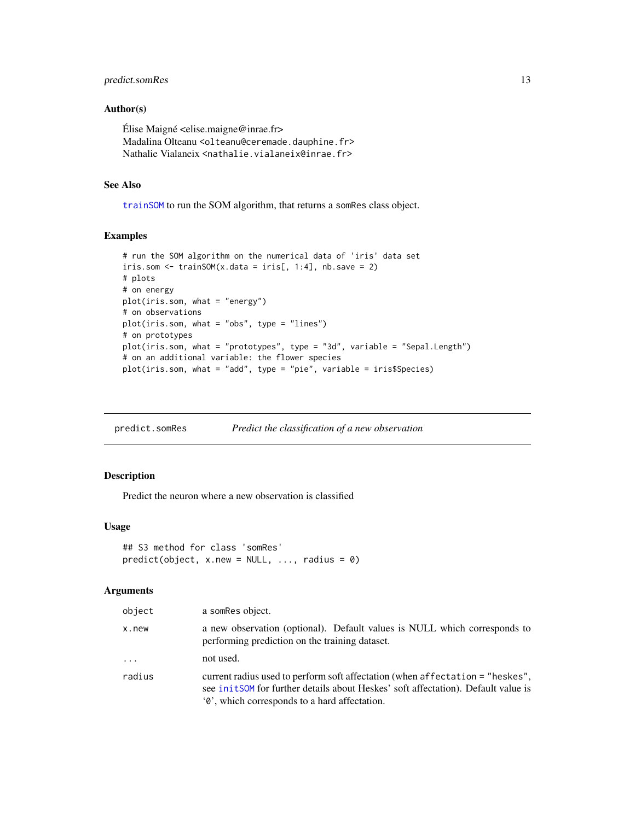# <span id="page-12-0"></span>predict.somRes 13

#### Author(s)

Élise Maigné  $\leq$ elise.maigne@inrae.fr> Madalina Olteanu <olteanu@ceremade.dauphine.fr> Nathalie Vialaneix <nathalie.vialaneix@inrae.fr>

# See Also

[trainSOM](#page-25-1) to run the SOM algorithm, that returns a somRes class object.

# Examples

```
# run the SOM algorithm on the numerical data of 'iris' data set
iris.som \le trainSOM(x.data = iris[, 1:4], nb.save = 2)
# plots
# on energy
plot(iris.som, what = "energy")
# on observations
plot(iris.som, what = "obs", type = "lines")
# on prototypes
plot(iris.som, what = "prototypes", type = "3d", variable = "Sepal.Length")
# on an additional variable: the flower species
plot(iris.som, what = "add", type = "pie", variable = iris$Species)
```
predict.somRes *Predict the classification of a new observation*

#### Description

Predict the neuron where a new observation is classified

# Usage

```
## S3 method for class 'somRes'
predict(object, x.new = NULL, ..., radius = 0)
```
#### Arguments

| object   | a somRes object.                                                                                                                                                                                                             |
|----------|------------------------------------------------------------------------------------------------------------------------------------------------------------------------------------------------------------------------------|
| x.new    | a new observation (optional). Default values is NULL which corresponds to<br>performing prediction on the training dataset.                                                                                                  |
| $\cdots$ | not used.                                                                                                                                                                                                                    |
| radius   | current radius used to perform soft affectation (when affectation = "heskes",<br>see initSOM for further details about Heskes' soft affectation). Default value is<br>' $\theta$ ', which corresponds to a hard affectation. |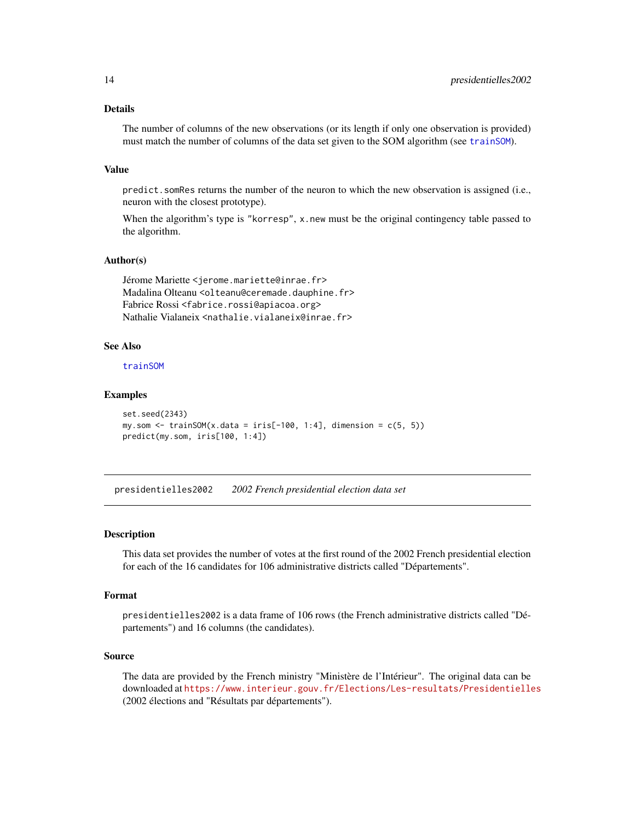# <span id="page-13-0"></span>Details

The number of columns of the new observations (or its length if only one observation is provided) must match the number of columns of the data set given to the SOM algorithm (see [trainSOM](#page-25-1)).

#### Value

predict.somRes returns the number of the neuron to which the new observation is assigned (i.e., neuron with the closest prototype).

When the algorithm's type is "korresp",  $x$  new must be the original contingency table passed to the algorithm.

#### Author(s)

Jérome Mariette <jerome.mariette@inrae.fr> Madalina Olteanu <olteanu@ceremade.dauphine.fr> Fabrice Rossi <fabrice.rossi@apiacoa.org> Nathalie Vialaneix <nathalie.vialaneix@inrae.fr>

#### See Also

[trainSOM](#page-25-1)

#### Examples

```
set.seed(2343)
my.som \le trainSOM(x.data = iris[-100, 1:4], dimension = c(5, 5))
predict(my.som, iris[100, 1:4])
```
presidentielles2002 *2002 French presidential election data set*

#### Description

This data set provides the number of votes at the first round of the 2002 French presidential election for each of the 16 candidates for 106 administrative districts called "Départements".

#### Format

presidentielles2002 is a data frame of 106 rows (the French administrative districts called "Départements") and 16 columns (the candidates).

# Source

The data are provided by the French ministry "Ministère de l'Intérieur". The original data can be downloaded at <https://www.interieur.gouv.fr/Elections/Les-resultats/Presidentielles> (2002 élections and "Résultats par départements").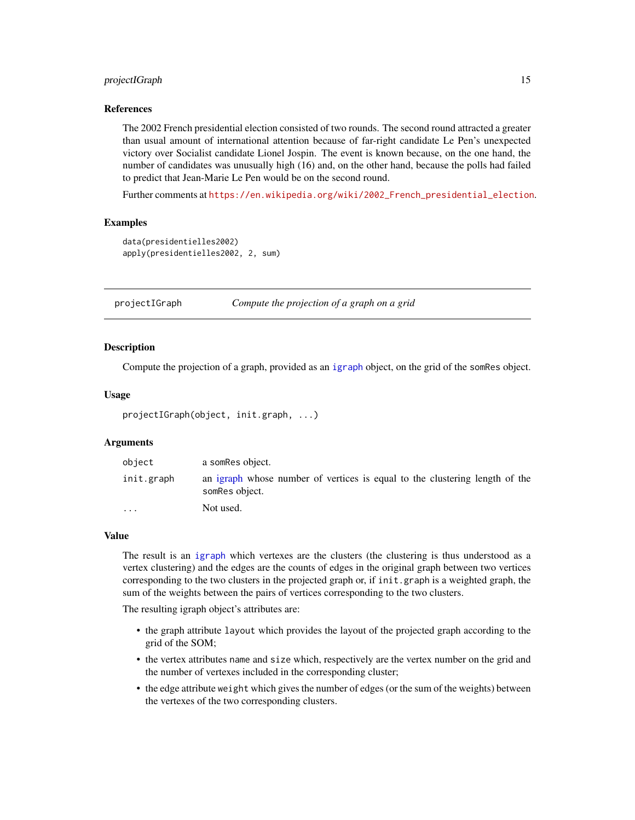#### <span id="page-14-0"></span>projectIGraph 15

#### References

The 2002 French presidential election consisted of two rounds. The second round attracted a greater than usual amount of international attention because of far-right candidate Le Pen's unexpected victory over Socialist candidate Lionel Jospin. The event is known because, on the one hand, the number of candidates was unusually high (16) and, on the other hand, because the polls had failed to predict that Jean-Marie Le Pen would be on the second round.

Further comments at [https://en.wikipedia.org/wiki/2002\\_French\\_presidential\\_election](https://en.wikipedia.org/wiki/2002_French_presidential_election).

#### Examples

```
data(presidentielles2002)
apply(presidentielles2002, 2, sum)
```
projectIGraph *Compute the projection of a graph on a grid*

#### <span id="page-14-1"></span>Description

Compute the projection of a graph, provided as an [igraph](#page-0-0) object, on the grid of the somRes object.

#### Usage

```
projectIGraph(object, init.graph, ...)
```
#### Arguments

| object     | a som Res object.                                                                             |
|------------|-----------------------------------------------------------------------------------------------|
| init.graph | an igraph whose number of vertices is equal to the clustering length of the<br>somRes object. |
| $\cdots$   | Not used.                                                                                     |

# Value

The result is an [igraph](#page-0-0) which vertexes are the clusters (the clustering is thus understood as a vertex clustering) and the edges are the counts of edges in the original graph between two vertices corresponding to the two clusters in the projected graph or, if init.graph is a weighted graph, the sum of the weights between the pairs of vertices corresponding to the two clusters.

The resulting igraph object's attributes are:

- the graph attribute layout which provides the layout of the projected graph according to the grid of the SOM;
- the vertex attributes name and size which, respectively are the vertex number on the grid and the number of vertexes included in the corresponding cluster;
- the edge attribute weight which gives the number of edges (or the sum of the weights) between the vertexes of the two corresponding clusters.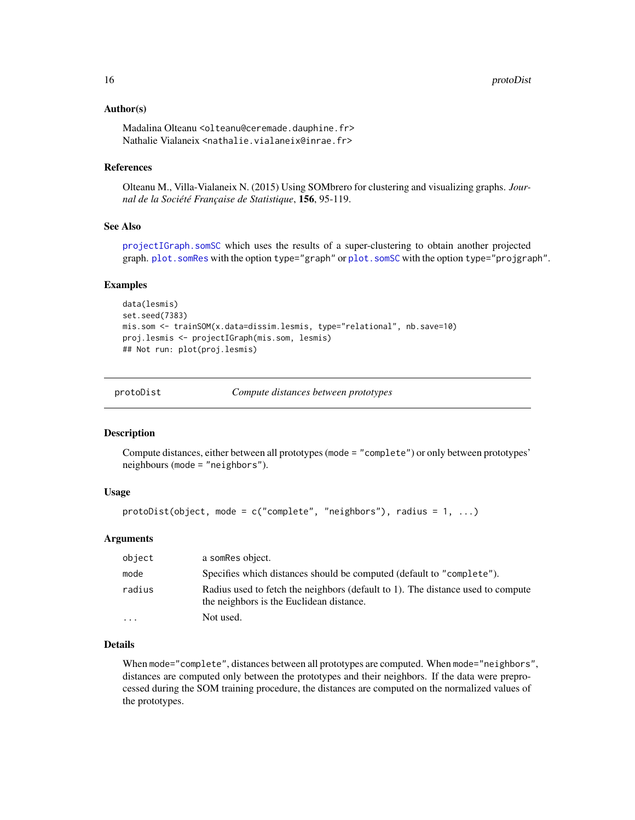#### <span id="page-15-0"></span>Author(s)

Madalina Olteanu <olteanu@ceremade.dauphine.fr> Nathalie Vialaneix <nathalie.vialaneix@inrae.fr>

# References

Olteanu M., Villa-Vialaneix N. (2015) Using SOMbrero for clustering and visualizing graphs. *Journal de la Société Française de Statistique*, 156, 95-119.

#### See Also

[projectIGraph.somSC](#page-22-1) which uses the results of a super-clustering to obtain another projected graph. [plot.somRes](#page-10-1) with the option type="graph" or [plot.somSC](#page-22-1) with the option type="projgraph".

#### Examples

```
data(lesmis)
set.seed(7383)
mis.som <- trainSOM(x.data=dissim.lesmis, type="relational", nb.save=10)
proj.lesmis <- projectIGraph(mis.som, lesmis)
## Not run: plot(proj.lesmis)
```
protoDist *Compute distances between prototypes*

#### **Description**

Compute distances, either between all prototypes (mode = "complete") or only between prototypes' neighbours (mode = "neighbors").

#### Usage

```
protoDist(object, mode = c("complete", "neighbors"), radius = 1, ...)
```
# Arguments

| object  | a som Res object.                                                                                                           |
|---------|-----------------------------------------------------------------------------------------------------------------------------|
| mode    | Specifies which distances should be computed (default to "complete").                                                       |
| radius  | Radius used to fetch the neighbors (default to 1). The distance used to compute<br>the neighbors is the Euclidean distance. |
| $\cdot$ | Not used.                                                                                                                   |

#### Details

When mode="complete", distances between all prototypes are computed. When mode="neighbors", distances are computed only between the prototypes and their neighbors. If the data were preprocessed during the SOM training procedure, the distances are computed on the normalized values of the prototypes.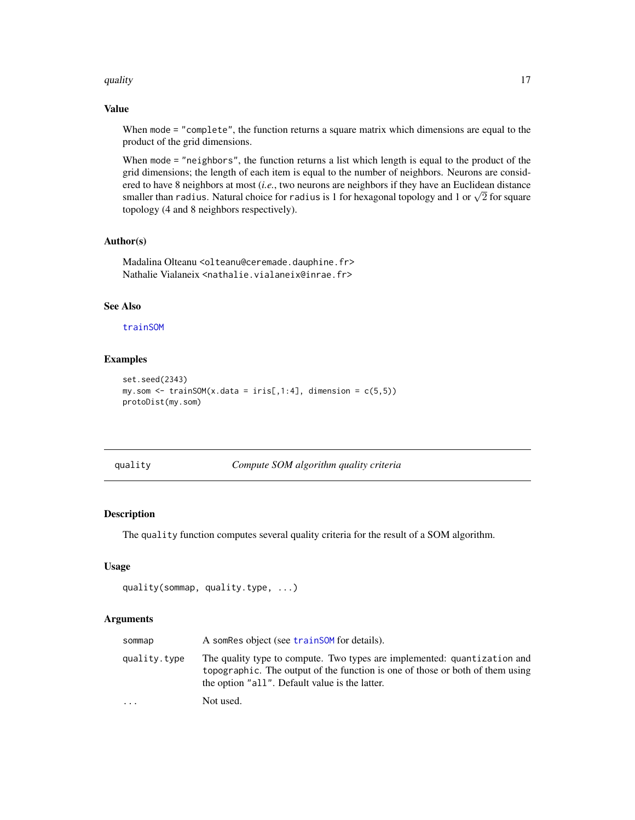#### <span id="page-16-0"></span>quality that is a set of the contract of the contract of the contract of the contract of the contract of the contract of the contract of the contract of the contract of the contract of the contract of the contract of the c

# Value

When mode = "complete", the function returns a square matrix which dimensions are equal to the product of the grid dimensions.

When mode = "neighbors", the function returns a list which length is equal to the product of the grid dimensions; the length of each item is equal to the number of neighbors. Neurons are considered to have 8 neighbors at most (*i.e.*, two neurons are neighbors if they have an Euclidean distance ered to have 8 neighbors at most (*i.e.*, two neurons are neighbors if they have an Euclidean distance<br>smaller than radius. Natural choice for radius is 1 for hexagonal topology and 1 or  $\sqrt{2}$  for square topology (4 and 8 neighbors respectively).

# Author(s)

Madalina Olteanu <olteanu@ceremade.dauphine.fr> Nathalie Vialaneix <nathalie.vialaneix@inrae.fr>

# See Also

#### [trainSOM](#page-25-1)

# Examples

```
set.seed(2343)
my.som \le trainSOM(x.data = iris[,1:4], dimension = c(5,5))
protoDist(my.som)
```
quality *Compute SOM algorithm quality criteria*

# Description

The quality function computes several quality criteria for the result of a SOM algorithm.

#### Usage

```
quality(sommap, quality.type, ...)
```
#### Arguments

| sommap       | A somRes object (see trainSOM for details).                                                                                                                                                                 |
|--------------|-------------------------------------------------------------------------------------------------------------------------------------------------------------------------------------------------------------|
| quality.type | The quality type to compute. Two types are implemented: quantization and<br>topographic. The output of the function is one of those or both of them using<br>the option "all". Default value is the latter. |
| .            | Not used.                                                                                                                                                                                                   |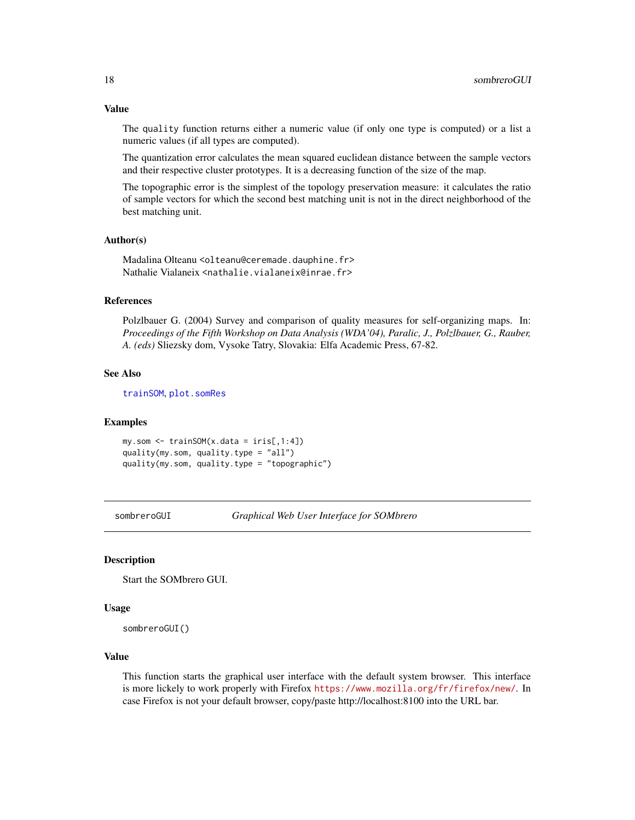The quality function returns either a numeric value (if only one type is computed) or a list a numeric values (if all types are computed).

The quantization error calculates the mean squared euclidean distance between the sample vectors and their respective cluster prototypes. It is a decreasing function of the size of the map.

The topographic error is the simplest of the topology preservation measure: it calculates the ratio of sample vectors for which the second best matching unit is not in the direct neighborhood of the best matching unit.

#### Author(s)

Madalina Olteanu <olteanu@ceremade.dauphine.fr> Nathalie Vialaneix <nathalie.vialaneix@inrae.fr>

# References

Polzlbauer G. (2004) Survey and comparison of quality measures for self-organizing maps. In: *Proceedings of the Fifth Workshop on Data Analysis (WDA'04), Paralic, J., Polzlbauer, G., Rauber, A. (eds)* Sliezsky dom, Vysoke Tatry, Slovakia: Elfa Academic Press, 67-82.

#### See Also

[trainSOM](#page-25-1), [plot.somRes](#page-10-1)

#### Examples

my.som <- trainSOM(x.data = iris[,1:4]) quality(my.som, quality.type = "all") quality(my.som, quality.type = "topographic")

<span id="page-17-1"></span>sombreroGUI *Graphical Web User Interface for SOMbrero*

#### Description

Start the SOMbrero GUI.

#### Usage

```
sombreroGUI()
```
#### Value

This function starts the graphical user interface with the default system browser. This interface is more lickely to work properly with Firefox <https://www.mozilla.org/fr/firefox/new/>. In case Firefox is not your default browser, copy/paste http://localhost:8100 into the URL bar.

<span id="page-17-0"></span>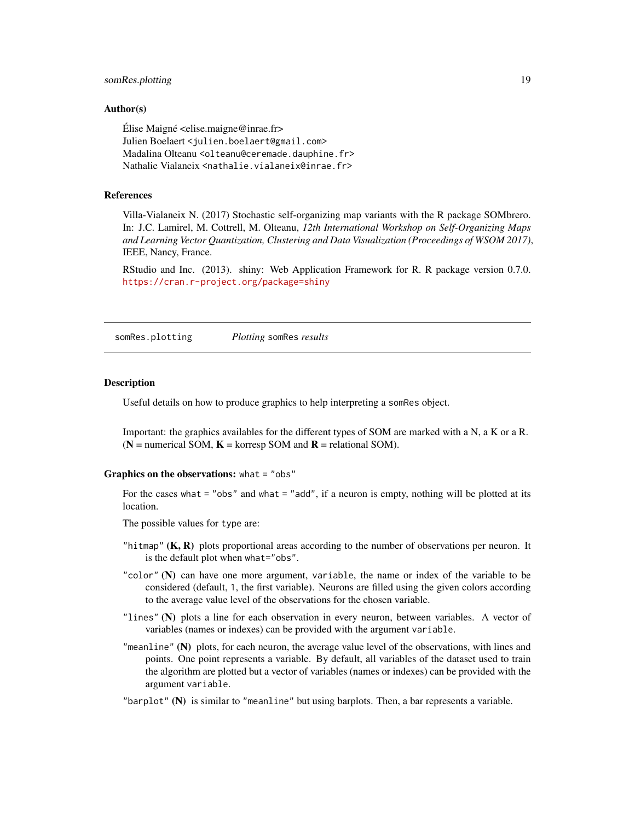# <span id="page-18-0"></span>somRes.plotting 19

#### Author(s)

 $Élise$  Maigné  $\leq$ elise.maigne@inrae.fr> Julien Boelaert <julien.boelaert@gmail.com> Madalina Olteanu <olteanu@ceremade.dauphine.fr> Nathalie Vialaneix <nathalie.vialaneix@inrae.fr>

#### References

Villa-Vialaneix N. (2017) Stochastic self-organizing map variants with the R package SOMbrero. In: J.C. Lamirel, M. Cottrell, M. Olteanu, *12th International Workshop on Self-Organizing Maps and Learning Vector Quantization, Clustering and Data Visualization (Proceedings of WSOM 2017)*, IEEE, Nancy, France.

RStudio and Inc. (2013). shiny: Web Application Framework for R. R package version 0.7.0. <https://cran.r-project.org/package=shiny>

<span id="page-18-1"></span>somRes.plotting *Plotting* somRes *results*

#### **Description**

Useful details on how to produce graphics to help interpreting a somRes object.

Important: the graphics availables for the different types of SOM are marked with a N, a K or a R.  $(N =$  numerical SOM,  $K =$  korresp SOM and  $R =$  relational SOM).

#### Graphics on the observations: what = "obs"

For the cases what = "obs" and what = "add", if a neuron is empty, nothing will be plotted at its location.

The possible values for type are:

- "hitmap"  $(K, R)$  plots proportional areas according to the number of observations per neuron. It is the default plot when what="obs".
- "color" (N) can have one more argument, variable, the name or index of the variable to be considered (default, 1, the first variable). Neurons are filled using the given colors according to the average value level of the observations for the chosen variable.
- "lines" (N) plots a line for each observation in every neuron, between variables. A vector of variables (names or indexes) can be provided with the argument variable.
- "meanline" (N) plots, for each neuron, the average value level of the observations, with lines and points. One point represents a variable. By default, all variables of the dataset used to train the algorithm are plotted but a vector of variables (names or indexes) can be provided with the argument variable.
- "barplot"  $(N)$  is similar to "meanline" but using barplots. Then, a bar represents a variable.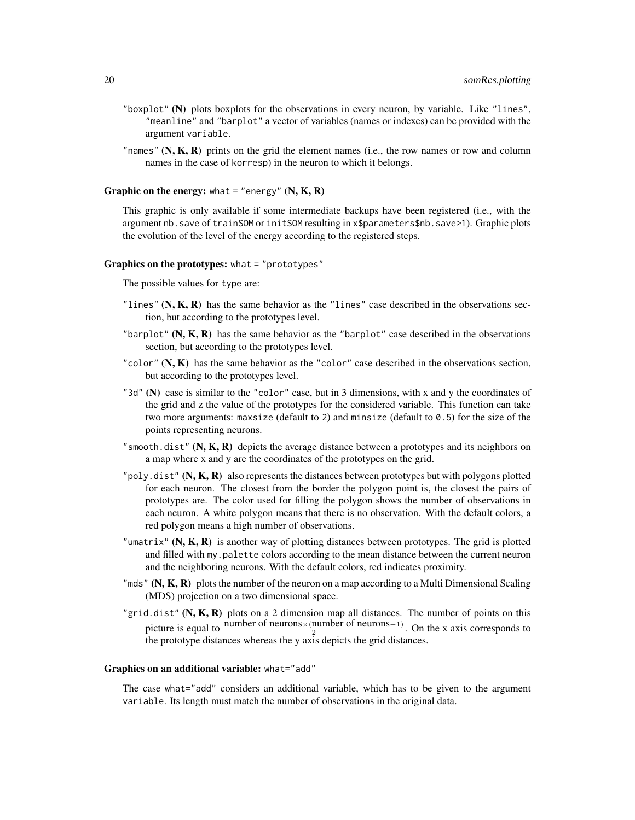- "boxplot" (N) plots boxplots for the observations in every neuron, by variable. Like "lines", "meanline" and "barplot" a vector of variables (names or indexes) can be provided with the argument variable.
- "names"  $(N, K, R)$  prints on the grid the element names (i.e., the row names or row and column names in the case of korresp) in the neuron to which it belongs.

**Graphic on the energy:** what  $=$  "energy"  $(N, K, R)$ 

This graphic is only available if some intermediate backups have been registered (i.e., with the argument nb.save of trainSOM or initSOM resulting in x\$parameters\$nb.save>1). Graphic plots the evolution of the level of the energy according to the registered steps.

#### Graphics on the prototypes: what = "prototypes"

The possible values for type are:

- "lines"  $(N, K, R)$  has the same behavior as the "lines" case described in the observations section, but according to the prototypes level.
- "barplot"  $(N, K, R)$  has the same behavior as the "barplot" case described in the observations section, but according to the prototypes level.
- "color"  $(N, K)$  has the same behavior as the "color" case described in the observations section, but according to the prototypes level.
- "3d" (N) case is similar to the "color" case, but in 3 dimensions, with x and y the coordinates of the grid and z the value of the prototypes for the considered variable. This function can take two more arguments: maxsize (default to 2) and minsize (default to  $\theta$ . 5) for the size of the points representing neurons.
- "smooth.dist"  $(N, K, R)$  depicts the average distance between a prototypes and its neighbors on a map where x and y are the coordinates of the prototypes on the grid.
- "poly.dist" (N,  $K$ , R) also represents the distances between prototypes but with polygons plotted for each neuron. The closest from the border the polygon point is, the closest the pairs of prototypes are. The color used for filling the polygon shows the number of observations in each neuron. A white polygon means that there is no observation. With the default colors, a red polygon means a high number of observations.
- "umatrix"  $(N, K, R)$  is another way of plotting distances between prototypes. The grid is plotted and filled with my.palette colors according to the mean distance between the current neuron and the neighboring neurons. With the default colors, red indicates proximity.
- "mds"  $(N, K, R)$  plots the number of the neuron on a map according to a Multi Dimensional Scaling (MDS) projection on a two dimensional space.
- "grid.dist"  $(N, K, R)$  plots on a 2 dimension map all distances. The number of points on this picture is equal to  $\frac{\text{number of neurons} \times (\text{number of neurons}-1)}{2}$ . On the x axis corresponds to the prototype distances whereas the y axis depicts the grid distances.

#### Graphics on an additional variable: what="add"

The case what="add" considers an additional variable, which has to be given to the argument variable. Its length must match the number of observations in the original data.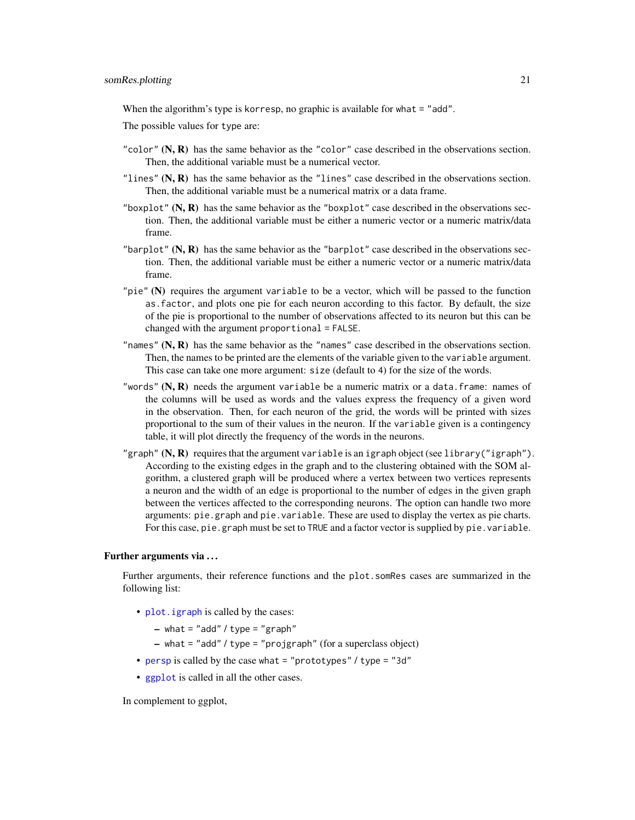<span id="page-20-0"></span>When the algorithm's type is korresp, no graphic is available for what = "add".

The possible values for type are:

- "color"  $(N, R)$  has the same behavior as the "color" case described in the observations section. Then, the additional variable must be a numerical vector.
- "lines"  $(N, R)$  has the same behavior as the "lines" case described in the observations section. Then, the additional variable must be a numerical matrix or a data frame.
- "boxplot"  $(N, R)$  has the same behavior as the "boxplot" case described in the observations section. Then, the additional variable must be either a numeric vector or a numeric matrix/data frame.
- "barplot"  $(N, R)$  has the same behavior as the "barplot" case described in the observations section. Then, the additional variable must be either a numeric vector or a numeric matrix/data frame.
- "pie" (N) requires the argument variable to be a vector, which will be passed to the function as.factor, and plots one pie for each neuron according to this factor. By default, the size of the pie is proportional to the number of observations affected to its neuron but this can be changed with the argument proportional = FALSE.
- "names"  $(N, R)$  has the same behavior as the "names" case described in the observations section. Then, the names to be printed are the elements of the variable given to the variable argument. This case can take one more argument: size (default to 4) for the size of the words.
- "words"  $(N, R)$  needs the argument variable be a numeric matrix or a data.frame: names of the columns will be used as words and the values express the frequency of a given word in the observation. Then, for each neuron of the grid, the words will be printed with sizes proportional to the sum of their values in the neuron. If the variable given is a contingency table, it will plot directly the frequency of the words in the neurons.
- "graph"  $(N, R)$  requires that the argument variable is an igraph object (see library("igraph"). According to the existing edges in the graph and to the clustering obtained with the SOM algorithm, a clustered graph will be produced where a vertex between two vertices represents a neuron and the width of an edge is proportional to the number of edges in the given graph between the vertices affected to the corresponding neurons. The option can handle two more arguments: pie.graph and pie.variable. These are used to display the vertex as pie charts. For this case, pie.graph must be set to TRUE and a factor vector is supplied by pie.variable.

#### Further arguments via . . .

Further arguments, their reference functions and the plot.somRes cases are summarized in the following list:

- plot. igraph is called by the cases:
	- $-$  what = "add" / type = "graph"
	- what = "add" / type = "projgraph" (for a superclass object)
- [persp](#page-0-0) is called by the case what = "prototypes" / type = "3d"
- [ggplot](#page-0-0) is called in all the other cases.

In complement to ggplot,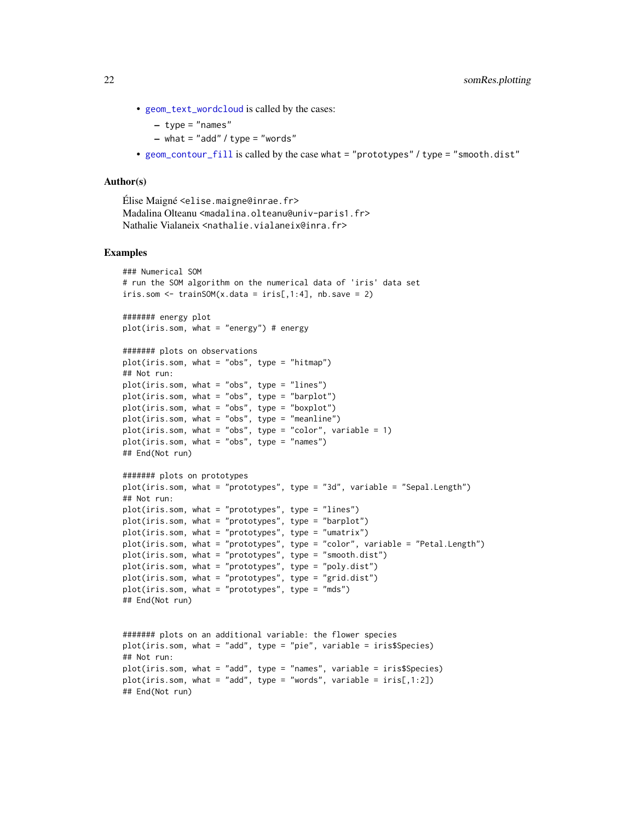• [geom\\_text\\_wordcloud](#page-0-0) is called by the cases:

```
- type = "names"
```
- $-$  what = "add" / type = "words"
- [geom\\_contour\\_fill](#page-0-0) is called by the case what = "prototypes" / type = "smooth.dist"

# Author(s)

```
Élise Maigné <elise.maigne@inrae.fr>
Madalina Olteanu <madalina.olteanu@univ-paris1.fr>
Nathalie Vialaneix <nathalie.vialaneix@inra.fr>
```
#### Examples

```
### Numerical SOM
# run the SOM algorithm on the numerical data of 'iris' data set
iris.som \le trainSOM(x.data = iris[,1:4], nb.save = 2)
####### energy plot
plot(iris.som, what = "energy") # energy
####### plots on observations
plot(iris.som, what = "obs", type = "hitmap")
## Not run:
plot(iris.som, what = "obs", type = "lines")
plot(iris.som, what = "obs", type = "barplot")
plot(iris.som, what = "obs", type = "boxplot")
plot(iris.som, what = "obs", type = "meanline")plot(iris.som, what = "obs", type = "color", variable = 1)
plot(iris.som, what = "obs", type = "names")
## End(Not run)
####### plots on prototypes
plot(iris.som, what = "prototypes", type = "3d", variable = "Sepal.Length")
## Not run:
plot(iris.som, what = "prototypes", type = "lines")
plot(iris.som, what = "prototypes", type = "barplot")
plot(iris.som, what = "prototypes", type = "umatrix")
plot(iris.som, what = "prototypes", type = "color", variable = "Petal.Length")
plot(iris.som, what = "prototypes", type = "smooth.dist")
plot(iris.som, what = "prototypes", type = "poly.dist")
plot(iris.som, what = "prototypes", type = "grid.dist")
plot(iris.som, what = "prototypes", type = "mds")
## End(Not run)
####### plots on an additional variable: the flower species
plot(iris.som, what = "add", type = "pie", variable = iris$Species)
## Not run:
plot(iris.som, what = "add", type = "names", variable = iris$Species)
plot(iris.som, what = "add", type = "words", variable = iris[,1:2])## End(Not run)
```
<span id="page-21-0"></span>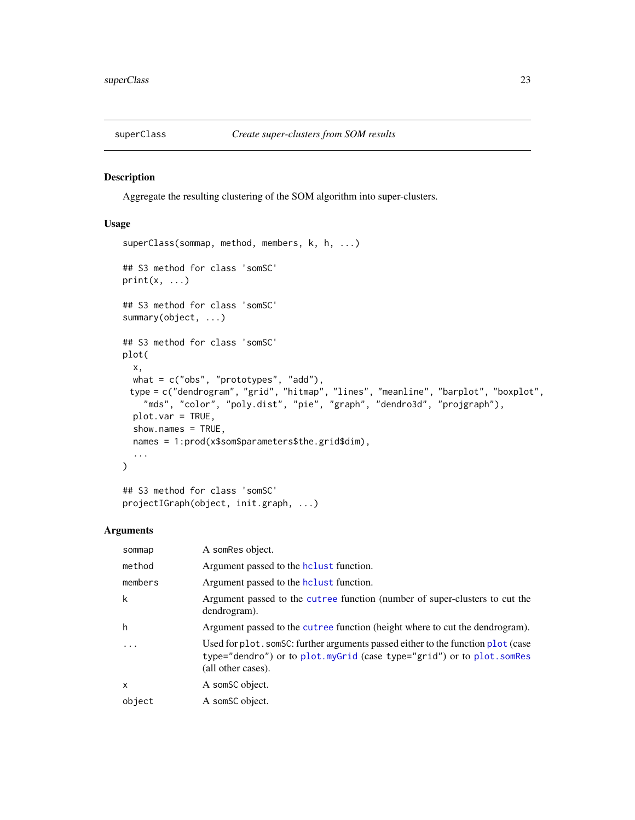<span id="page-22-0"></span>

# <span id="page-22-1"></span>Description

Aggregate the resulting clustering of the SOM algorithm into super-clusters.

#### Usage

```
superClass(sommap, method, members, k, h, ...)
## S3 method for class 'somSC'
print(x, \ldots)## S3 method for class 'somSC'
summary(object, ...)
## S3 method for class 'somSC'
plot(
 x,
 what = c("obs", "prototypes", "add"),type = c("dendrogram", "grid", "hitmap", "lines", "meanline", "barplot", "boxplot",
    "mds", "color", "poly.dist", "pie", "graph", "dendro3d", "projgraph"),
 plot.var = TRUE,
  show.names = TRUE,
 names = 1:prod(x$som$parameters$the.grid$dim),
  ...
)
```
## S3 method for class 'somSC' projectIGraph(object, init.graph, ...)

# Arguments

| sommap                  | A somRes object.                                                                                                                                                                |
|-------------------------|---------------------------------------------------------------------------------------------------------------------------------------------------------------------------------|
| method                  | Argument passed to the holast function.                                                                                                                                         |
| members                 | Argument passed to the holast function.                                                                                                                                         |
| k                       | Argument passed to the cutree function (number of super-clusters to cut the<br>dendrogram).                                                                                     |
| h                       | Argument passed to the cutree function (height where to cut the dendrogram).                                                                                                    |
| $\cdot$ $\cdot$ $\cdot$ | Used for plot. somSC: further arguments passed either to the function plot (case<br>type="dendro") or to plot.myGrid (case type="grid") or to plot.somRes<br>(all other cases). |
| X                       | A som <sub>SC</sub> object.                                                                                                                                                     |
| object                  | A som <sub>SC</sub> object.                                                                                                                                                     |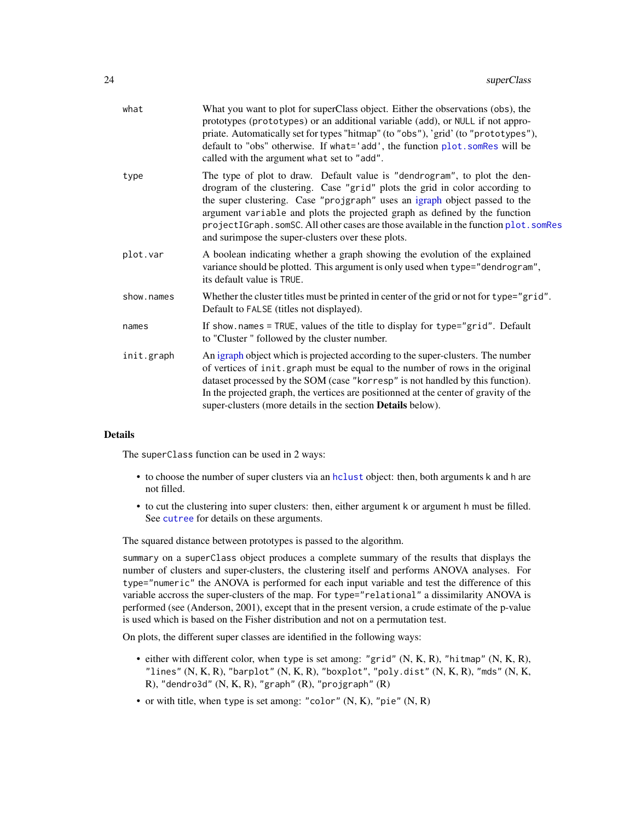<span id="page-23-0"></span>

| what       | What you want to plot for superClass object. Either the observations (obs), the<br>prototypes (prototypes) or an additional variable (add), or NULL if not appro-<br>priate. Automatically set for types "hitmap" (to "obs"), 'grid' (to "prototypes"),<br>default to "obs" otherwise. If what='add', the function plot.somRes will be<br>called with the argument what set to "add".                                                                              |
|------------|--------------------------------------------------------------------------------------------------------------------------------------------------------------------------------------------------------------------------------------------------------------------------------------------------------------------------------------------------------------------------------------------------------------------------------------------------------------------|
| type       | The type of plot to draw. Default value is "dendrogram", to plot the den-<br>drogram of the clustering. Case "grid" plots the grid in color according to<br>the super clustering. Case "projgraph" uses an igraph object passed to the<br>argument variable and plots the projected graph as defined by the function<br>projectIGraph.somSC. All other cases are those available in the function plot.somRes<br>and surimpose the super-clusters over these plots. |
| plot.var   | A boolean indicating whether a graph showing the evolution of the explained<br>variance should be plotted. This argument is only used when type="dendrogram",<br>its default value is TRUE.                                                                                                                                                                                                                                                                        |
| show.names | Whether the cluster titles must be printed in center of the grid or not for type="grid".<br>Default to FALSE (titles not displayed).                                                                                                                                                                                                                                                                                                                               |
| names      | If show.names = TRUE, values of the title to display for type="grid". Default<br>to "Cluster" followed by the cluster number.                                                                                                                                                                                                                                                                                                                                      |
| init.graph | An igraph object which is projected according to the super-clusters. The number<br>of vertices of init.graph must be equal to the number of rows in the original<br>dataset processed by the SOM (case "korresp" is not handled by this function).<br>In the projected graph, the vertices are positionned at the center of gravity of the<br>super-clusters (more details in the section Details below).                                                          |
|            |                                                                                                                                                                                                                                                                                                                                                                                                                                                                    |

# Details

The superClass function can be used in 2 ways:

- to choose the number of super clusters via an [hclust](#page-0-0) object: then, both arguments k and h are not filled.
- to cut the clustering into super clusters: then, either argument k or argument h must be filled. See [cutree](#page-0-0) for details on these arguments.

The squared distance between prototypes is passed to the algorithm.

summary on a superClass object produces a complete summary of the results that displays the number of clusters and super-clusters, the clustering itself and performs ANOVA analyses. For type="numeric" the ANOVA is performed for each input variable and test the difference of this variable accross the super-clusters of the map. For type="relational" a dissimilarity ANOVA is performed (see (Anderson, 2001), except that in the present version, a crude estimate of the p-value is used which is based on the Fisher distribution and not on a permutation test.

On plots, the different super classes are identified in the following ways:

- either with different color, when type is set among: "grid" (N, K, R), "hitmap" (N, K, R), "lines" (N, K, R), "barplot" (N, K, R), "boxplot", "poly.dist" (N, K, R), "mds" (N, K, R), "dendro3d" (N, K, R), "graph" (R), "projgraph" (R)
- or with title, when type is set among: "color" (N, K), "pie" (N, R)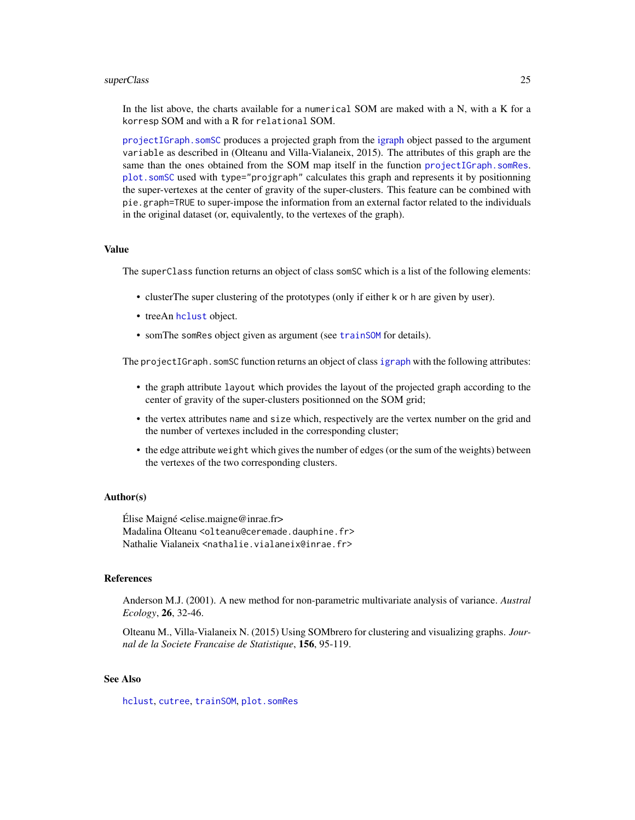#### <span id="page-24-0"></span>superClass 25

In the list above, the charts available for a numerical SOM are maked with a N, with a K for a korresp SOM and with a R for relational SOM.

[projectIGraph.somSC](#page-22-1) produces a projected graph from the [igraph](#page-0-0) object passed to the argument variable as described in (Olteanu and Villa-Vialaneix, 2015). The attributes of this graph are the same than the ones obtained from the SOM map itself in the function [projectIGraph.somRes](#page-14-1). [plot.somSC](#page-22-1) used with type="projgraph" calculates this graph and represents it by positionning the super-vertexes at the center of gravity of the super-clusters. This feature can be combined with pie.graph=TRUE to super-impose the information from an external factor related to the individuals in the original dataset (or, equivalently, to the vertexes of the graph).

#### Value

The superClass function returns an object of class somSC which is a list of the following elements:

- clusterThe super clustering of the prototypes (only if either k or h are given by user).
- treeAn [hclust](#page-0-0) object.
- somThe somRes object given as argument (see [trainSOM](#page-25-1) for details).

The projectIGraph.somSC function returns an object of class [igraph](#page-0-0) with the following attributes:

- the graph attribute layout which provides the layout of the projected graph according to the center of gravity of the super-clusters positionned on the SOM grid;
- the vertex attributes name and size which, respectively are the vertex number on the grid and the number of vertexes included in the corresponding cluster;
- the edge attribute weight which gives the number of edges (or the sum of the weights) between the vertexes of the two corresponding clusters.

#### Author(s)

 $Élise$  Maigné  $\leq$ elise.maigne@inrae.fr> Madalina Olteanu <olteanu@ceremade.dauphine.fr> Nathalie Vialaneix <nathalie.vialaneix@inrae.fr>

#### References

Anderson M.J. (2001). A new method for non-parametric multivariate analysis of variance. *Austral Ecology*, 26, 32-46.

Olteanu M., Villa-Vialaneix N. (2015) Using SOMbrero for clustering and visualizing graphs. *Journal de la Societe Francaise de Statistique*, 156, 95-119.

# See Also

[hclust](#page-0-0), [cutree](#page-0-0), [trainSOM](#page-25-1), [plot.somRes](#page-10-1)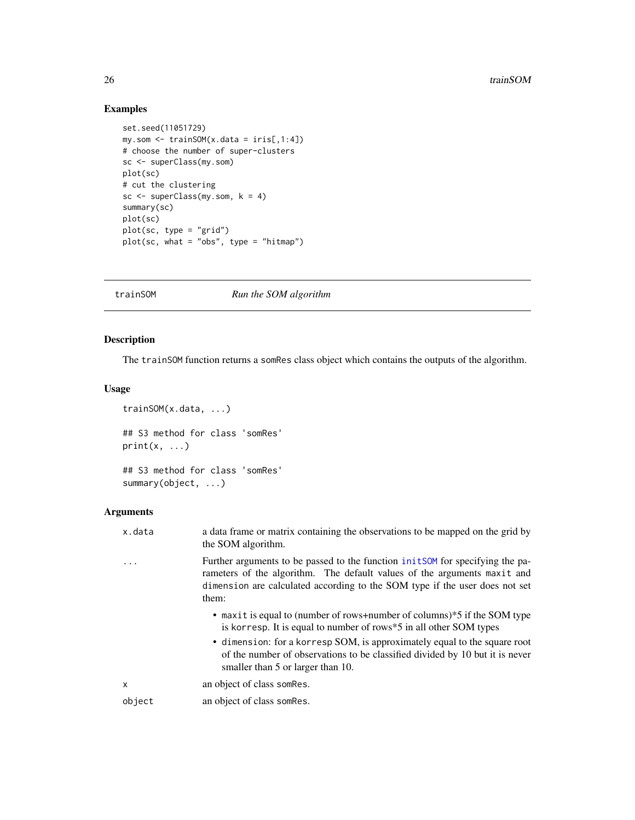# Examples

```
set.seed(11051729)
my.som \le trainSOM(x.data = iris[,1:4])
# choose the number of super-clusters
sc <- superClass(my.som)
plot(sc)
# cut the clustering
sc \leq superClass(my.som, k = 4)
summary(sc)
plot(sc)
plot(sc, type = "grid")
plot(sc, what = "obs", type = "hitmap")
```
<span id="page-25-1"></span>trainSOM *Run the SOM algorithm*

# Description

The trainSOM function returns a somRes class object which contains the outputs of the algorithm.

# Usage

```
trainSOM(x.data, ...)
## S3 method for class 'somRes'
print(x, \ldots)## S3 method for class 'somRes'
```
summary(object, ...)

# Arguments

| x.data | a data frame or matrix containing the observations to be mapped on the grid by<br>the SOM algorithm.                                                                                                                                              |
|--------|---------------------------------------------------------------------------------------------------------------------------------------------------------------------------------------------------------------------------------------------------|
|        | Further arguments to be passed to the function initSOM for specifying the pa-<br>rameters of the algorithm. The default values of the arguments maxit and<br>dimension are calculated according to the SOM type if the user does not set<br>them: |
|        | • maxit is equal to (number of rows+number of columns)*5 if the SOM type<br>is korresp. It is equal to number of rows *5 in all other SOM types                                                                                                   |
|        | • dimension: for a korresp SOM, is approximately equal to the square root<br>of the number of observations to be classified divided by 10 but it is never<br>smaller than 5 or larger than 10.                                                    |
| X      | an object of class som Res.                                                                                                                                                                                                                       |
| object | an object of class som Res.                                                                                                                                                                                                                       |

<span id="page-25-0"></span>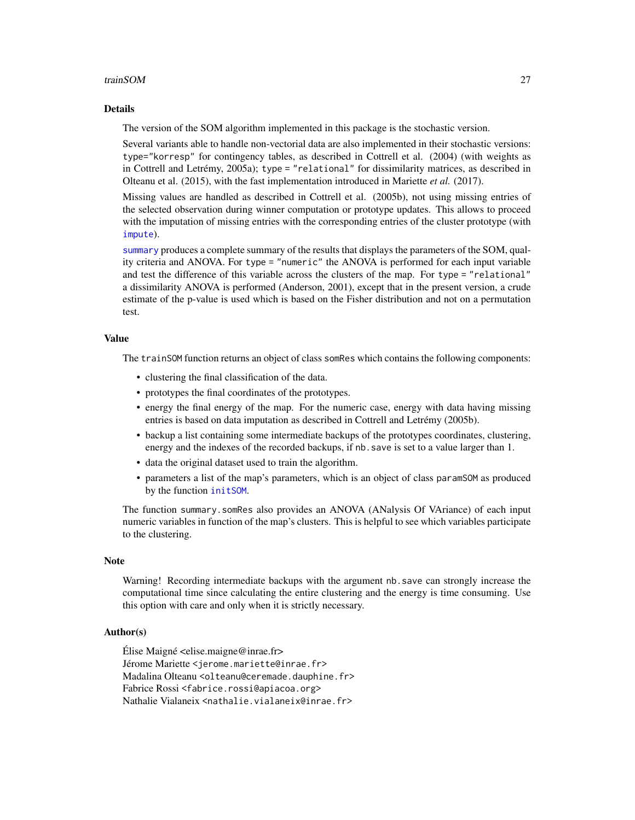#### <span id="page-26-0"></span>trainSOM 27

#### Details

The version of the SOM algorithm implemented in this package is the stochastic version.

Several variants able to handle non-vectorial data are also implemented in their stochastic versions: type="korresp" for contingency tables, as described in Cottrell et al. (2004) (with weights as in Cottrell and Letrémy, 2005a); type = "relational" for dissimilarity matrices, as described in Olteanu et al. (2015), with the fast implementation introduced in Mariette *et al.* (2017).

Missing values are handled as described in Cottrell et al. (2005b), not using missing entries of the selected observation during winner computation or prototype updates. This allows to proceed with the imputation of missing entries with the corresponding entries of the cluster prototype (with [impute](#page-3-1)).

[summary](#page-0-0) produces a complete summary of the results that displays the parameters of the SOM, quality criteria and ANOVA. For type = "numeric" the ANOVA is performed for each input variable and test the difference of this variable across the clusters of the map. For type = "relational" a dissimilarity ANOVA is performed (Anderson, 2001), except that in the present version, a crude estimate of the p-value is used which is based on the Fisher distribution and not on a permutation test.

#### Value

The trainSOM function returns an object of class somRes which contains the following components:

- clustering the final classification of the data.
- prototypes the final coordinates of the prototypes.
- energy the final energy of the map. For the numeric case, energy with data having missing entries is based on data imputation as described in Cottrell and Letrémy (2005b).
- backup a list containing some intermediate backups of the prototypes coordinates, clustering, energy and the indexes of the recorded backups, if nb.save is set to a value larger than 1.
- data the original dataset used to train the algorithm.
- parameters a list of the map's parameters, which is an object of class paramSOM as produced by the function [initSOM](#page-5-1).

The function summary.somRes also provides an ANOVA (ANalysis Of VAriance) of each input numeric variables in function of the map's clusters. This is helpful to see which variables participate to the clustering.

#### **Note**

Warning! Recording intermediate backups with the argument nb.save can strongly increase the computational time since calculating the entire clustering and the energy is time consuming. Use this option with care and only when it is strictly necessary.

#### Author(s)

Élise Maigné <elise.maigne@inrae.fr> Jérome Mariette <jerome.mariette@inrae.fr> Madalina Olteanu <olteanu@ceremade.dauphine.fr> Fabrice Rossi <fabrice.rossi@apiacoa.org> Nathalie Vialaneix <nathalie.vialaneix@inrae.fr>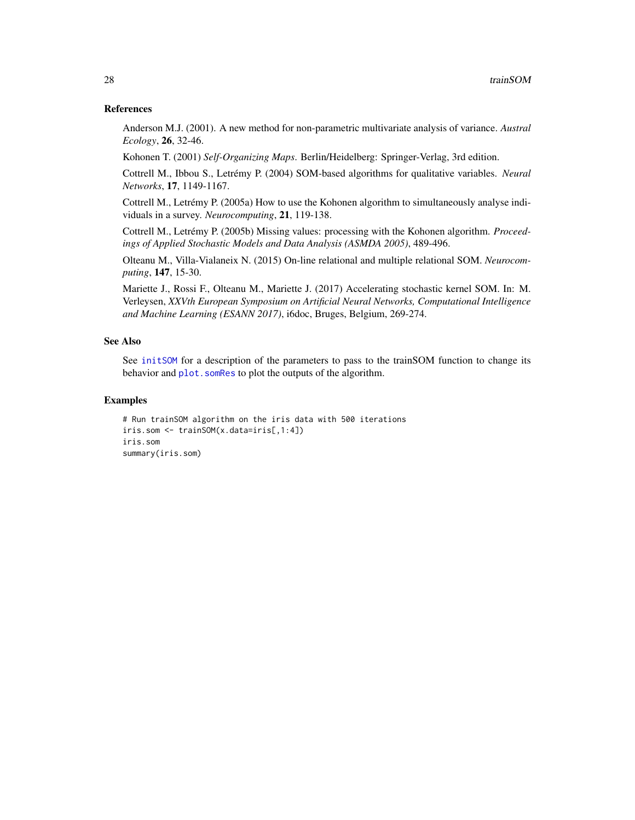#### <span id="page-27-0"></span>References

Anderson M.J. (2001). A new method for non-parametric multivariate analysis of variance. *Austral Ecology*, 26, 32-46.

Kohonen T. (2001) *Self-Organizing Maps*. Berlin/Heidelberg: Springer-Verlag, 3rd edition.

Cottrell M., Ibbou S., Letrémy P. (2004) SOM-based algorithms for qualitative variables. *Neural Networks*, 17, 1149-1167.

Cottrell M., Letrémy P. (2005a) How to use the Kohonen algorithm to simultaneously analyse individuals in a survey. *Neurocomputing*, 21, 119-138.

Cottrell M., Letrémy P. (2005b) Missing values: processing with the Kohonen algorithm. *Proceedings of Applied Stochastic Models and Data Analysis (ASMDA 2005)*, 489-496.

Olteanu M., Villa-Vialaneix N. (2015) On-line relational and multiple relational SOM. *Neurocomputing*, 147, 15-30.

Mariette J., Rossi F., Olteanu M., Mariette J. (2017) Accelerating stochastic kernel SOM. In: M. Verleysen, *XXVth European Symposium on Artificial Neural Networks, Computational Intelligence and Machine Learning (ESANN 2017)*, i6doc, Bruges, Belgium, 269-274.

#### See Also

See [initSOM](#page-5-1) for a description of the parameters to pass to the trainSOM function to change its behavior and plot. somRes to plot the outputs of the algorithm.

# **Examples**

```
# Run trainSOM algorithm on the iris data with 500 iterations
iris.som <- trainSOM(x.data=iris[,1:4])
iris.som
summary(iris.som)
```